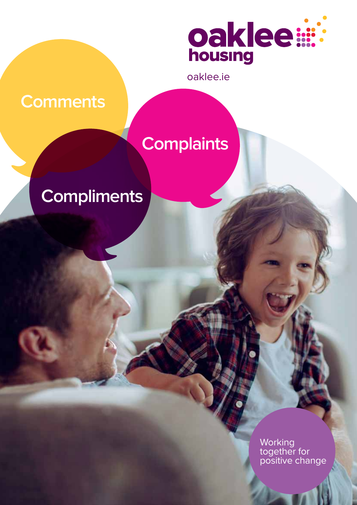

oaklee.ie

# **Comments**

# **Complaints**

# **Compliments**

**Working** together for positive change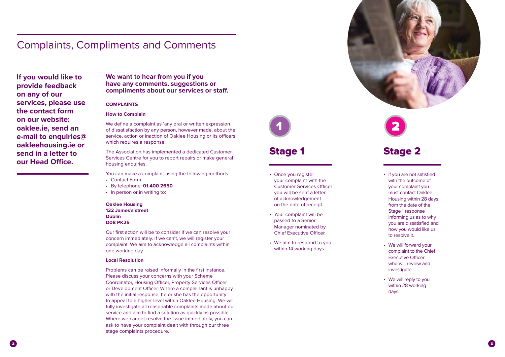### Stage 1

- Once you register your complaint with the Customer Services Officer you will be sent a letter of acknowledgement on the date of receipt. **Stage 1**<br>
Stage 1<br>
Stage 1<br>
Nonce you register<br>
your complaint with the<br>
Customer Services Offi<br>
you will be sent a letter<br>
of acknowledgement<br>
on the date of receipt.<br>
Your complaint will be<br>
passed to a Senior<br>
Manager
- • Your complaint will be passed to a Senior Manager nominated by Chief Executive Officer.
- We aim to respond to you



### Complaints, Compliments and Comments

**If you would like to provide feedback on any of our services, please use the contact form on our website: oaklee.ie, send an e-mail to enquiries@ oakleehousing.ie or send in a letter to our Head Office.** 

We define a complaint as 'any oral or written expression of dissatisfaction by any person, however made, about the service, action or inaction of Oaklee Housing or its officers which requires a response'.

#### **COMPLAINTS**

#### **How to Complain**

- • Contact Form
- • By telephone: **01 400 2650**
- In person or in writing to:

The Association has implemented a dedicated Customer Services Centre for you to report repairs or make general housing enquiries.

You can make a complaint using the following methods:

#### **Oaklee Housing 132 James's street Dublin**

**D08 PK25**

Our first action will be to consider if we can resolve your concern immediately. If we can't, we will register your complaint. We aim to acknowledge all complaints within one working day.

#### **Local Resolution**

Problems can be raised informally in the first instance. Please discuss your concerns with your Scheme Coordinator, Housing Officer, Property Services Officer or Development Officer. Where a complainant is unhappy with the initial response, he or she has the opportunity to appeal to a higher level within Oaklee Housing. We will fully investigate all reasonable complaints made about our service and aim to find a solution as quickly as possible. Where we cannot resolve the issue immediately, you can ask to have your complaint dealt with through our three stage complaints procedure.



- • If you are not satisfied with the outcome of your complaint you must contact Oaklee Housing within 28 days from the date of the Stage 1 response informing us as to why you are dissatisfied and how you would like us to resolve it.
- We will forward your complaint to the Chief Executive Officer who will review and investigate.
- We will reply to you within 28 working days.

### Stage 2

#### **We want to hear from you if you have any comments, suggestions or compliments about our services or staff.**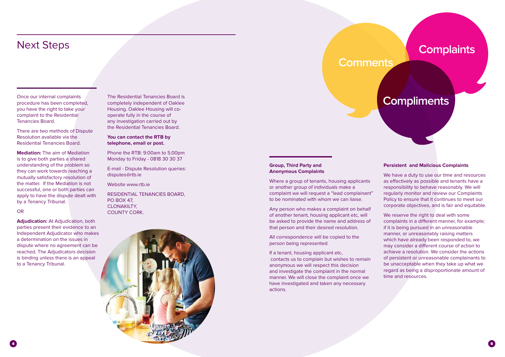Once our internal complaints procedure has been completed, you have the right to take your complaint to the Residential Tenancies Board.

There are two methods of Dispute Resolution available via the Residential Tenancies Board.

**Mediation:** The aim of Mediation is to give both parties a shared understanding of the problem so they can work towards reaching a mutually satisfactory resolution of the matter. If the Mediation is not successful, one or both parties can apply to have the dispute dealt with by a Tenancy Tribunal.

#### **OR**

**Adjudication:** At Adjudication, both parties present their evidence to an Independent Adjudicator who makes a determination on the issues in dispute where no agreement can be reached. The Adjudicators decision is binding unless there is an appeal to a Tenancy Tribunal.

# Next Steps

The Residential Tenancies Board is completely independent of Oaklee Housing. Oaklee Housing will cooperate fully in the course of any investigation carried out by the Residential Tenancies Board.

#### **You can contact the RTB by telephone, email or post.**

Phone the RTB: 9:00am to 5.00pm Monday to Friday - 0818 30 30 37

E-mail - Dispute Resolution queries: disputes@rtb.ie

Website www.rtb.ie

RESIDENTIAL TENANCIES BOARD, PO BOX 47, CLONAKILTY, COUNTY CORK.



# **Compliments**

# **Comments**

## **Complaints**

#### **Group, Third Party and Anonymous Complaints**

Where a group of tenants, housing applicants or another group of individuals make a complaint we will request a "lead complainant" to be nominated with whom we can liaise.

Any person who makes a complaint on behalf of another tenant, housing applicant etc, will be asked to provide the name and address of that person and their desired resolution.

All correspondence will be copied to the person being represented.

If a tenant, housing applicant etc, contacts us to complain but wishes to remain anonymous we will respect this decision and investigate the complaint in the normal manner. We will close the complaint once we have investigated and taken any necessary actions.

#### **Persistent and Malicious Complaints**

We have a duty to use our time and resources as effectively as possible and tenants have a responsibility to behave reasonably. We will regularly monitor and review our Complaints Policy to ensure that it continues to meet our corporate objectives, and is fair and equitable.

We reserve the right to deal with some complaints in a different manner, for example; if it is being pursued in an unreasonable manner, or unreasonably raising matters which have already been responded to, we may consider a different course of action to achieve a resolution. We consider the actions of persistent or unreasonable complainants to be unacceptable when they take up what we regard as being a disproportionate amount of time and resources.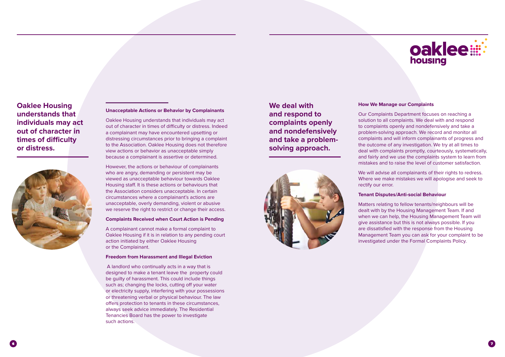#### **Unacceptable Actions or Behavior by Complainants**

Oaklee Housing understands that individuals may act out of character in times of difficulty or distress. Indeed a complainant may have encountered upsetting or distressing circumstances prior to bringing a complaint to the Association. Oaklee Housing does not therefore view actions or behavior as unacceptable simply because a complainant is assertive or determined.

However, the actions or behaviour of complainants who are angry, demanding or persistent may be viewed as unacceptable behaviour towards Oaklee Housing staff. It is these actions or behaviours that the Association considers unacceptable. In certain circumstances where a complainant's actions are unacceptable, overly demanding, violent or abusive we reserve the right to restrict or change their access.

#### **Complaints Received when Court Action is Pending**

A complainant cannot make a formal complaint to Oaklee Housing if it is in relation to any pending court action initiated by either Oaklee Housing or the Complainant.

#### **Freedom from Harassment and Illegal Eviction**

 A landlord who continually acts in a way that is designed to make a tenant leave the property could be guilty of harassment. This could include things such as; changing the locks, cutting off your water or electricity supply, interfering with your possessions or threatening verbal or physical behaviour. The law offers protection to tenants in these circumstances, always seek advice immediately. The Residential Tenancies Board has the power to investigate such actions.

### **Oaklee Housing understands that individuals may act out of character in times of difficulty or distress.**



#### **How We Manage our Complaints**

Our Complaints Department focuses on reaching a solution to all complaints. We deal with and respond to complaints openly and nondefensively and take a problem-solving approach. We record and monitor all complaints and will inform complainants of progress and the outcome of any investigation. We try at all times to deal with complaints promptly, courteously, systematically, and fairly and we use the complaints system to learn from mistakes and to raise the level of customer satisfaction.

We will advise all complainants of their rights to redress. Where we make mistakes we will apologise and seek to rectify our error.

#### **Tenant Disputes/Anti-social Behaviour**

Matters relating to fellow tenants/neighbours will be dealt with by the Housing Management Team. If and when we can help, the Housing Management Team will give assistance but this is not always possible. If you are dissatisfied with the response from the Housing Management Team you can ask for your complaint to be investigated under the Formal Complaints Policy.

# oaklee: housing

### **We deal with and respond to complaints openly and nondefensively and take a problemsolving approach.**

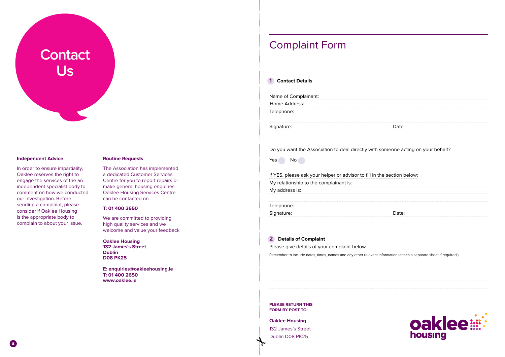#### **Independent Advice**

In order to ensure impartiality, Oaklee reserves the right to engage the services of the an independent specialist body to comment on how we conducted our investigation. Before sending a complaint, please consider if Oaklee Housing is the appropriate body to complain to about your issue.

We are committed to providing high quality services and we welcome and value your feedback

#### **Routine Requests**

| Home Address:        |  |
|----------------------|--|
| Name of Complainant: |  |

| Do you want the Association to deal directly with |  |  |  |
|---------------------------------------------------|--|--|--|
|---------------------------------------------------|--|--|--|

Yes No

The Association has implemented a dedicated Customer Services Centre for you to report repairs or make general housing enquiries. Oaklee Housing Services Centre can be contacted on

If YES, please ask your helper or advisor to fill in the section below: My relationship to the complainant is: My address is: Telephone: Signature:

#### **T: 01 400 2650**

**Oaklee Housing 132 James's Street Dublin D08 PK25**

**E: enquiries@oakleehousing.ie T: 01 400 2650 www.oaklee.ie**

# **Contact Us**

#### **1 Contact Details**

#### **2 Details of Complaint**

Please give details of your complaint below.

Remember to include dates, times, names and any other relevant information (attach a separate sheet if required.)



**PLEASE RETURN THIS FORM BY POST TO:**

#### **Oaklee Housing**

132 James's Street Dublin D08 PK25

#### someone acting on your behalf?

| Date: |  |  |
|-------|--|--|
|       |  |  |

## Complaint Form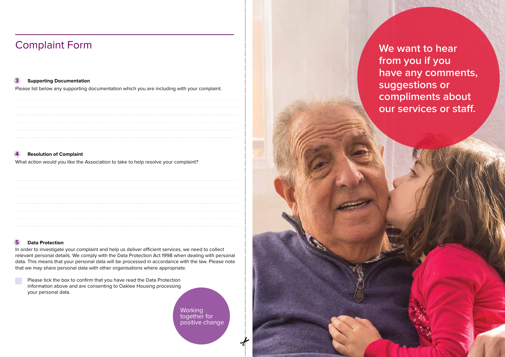#### **3 Supporting Documentation**

Please list below any supporting documentation which you are including with your complaint.



#### **4 Resolution of Complaint**

What action would you like the Association to take to help resolve your complaint?

#### **5 Data Protection**

**Working** together for positive change



In order to investigate your complaint and help us deliver efficient services, we need to collect relevant personal details. We comply with the Data Protection Act 1998 when dealing with personal data. This means that your personal data will be processed in accordance with the law. Please note that we may share personal data with other organisations where appropriate.

| Please tick the box to confirm that you have read the Data Protection |
|-----------------------------------------------------------------------|
| information above and are consenting to Oaklee Housing processing     |
| your personal data.                                                   |

# Complaint Form

**We want to hear from you if you have any comments, suggestions or compliments about our services or staff.**